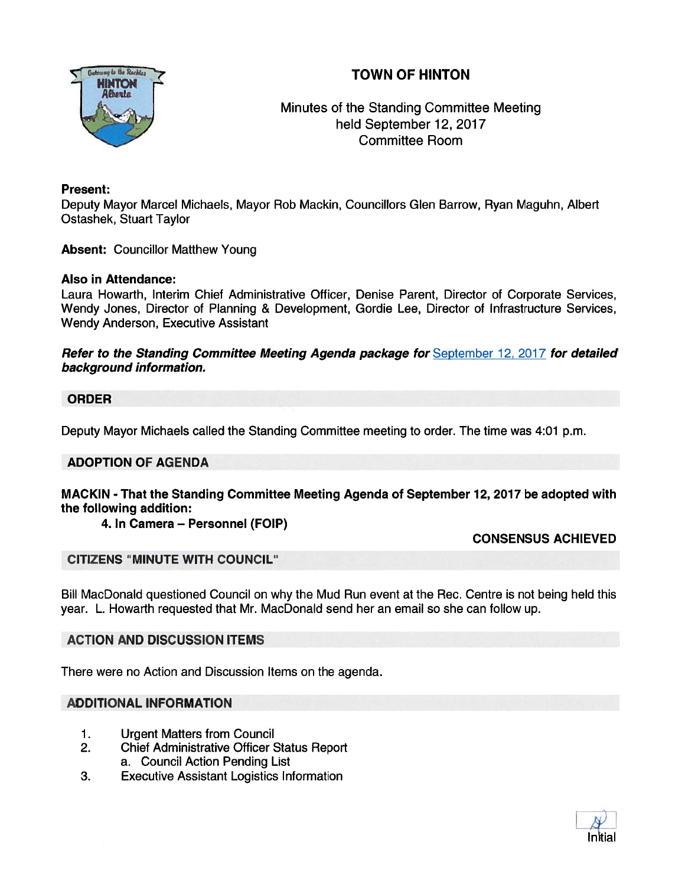

**TOWN OF HINTON INTO A Recision COMM OF A RECORD COMMENT ON A RECORD COMMENT ON A RECORD COMMENT ON A RECORD M**<br>Alberta **Minutes of the Standing Committee Meeting** held September 12, 2017 Committee Room

### Present:

Deputy Mayor Marcel Michaels, Mayor Rob Mackin, Councillors Glen Barrow, Ryan Maguhn, Albert Ostashek, Stuart Taylor

Absent: Councillor Matthew Young

#### Also in Attendance:

Laura Howarth, Interim Chief Administrative Officer, Denise Parent, Director of Corporate Services, Wendy Jones, Director of Planning & Development, Gordie Lee, Director of Infrastructure Services, Wendy Anderson, Executive Assistant

Refer to the Standing Committee Meeting Agenda package for September 12, 2017 for detailed background information.

#### ORDER

Deputy Mayor Michaels called the Standing Committee meeting to order. The time was 4:01 p.m.

#### ADOPTION OF AGENDA

#### MACKIN - That the Standing Committee Meeting Agenda of September 72, 2017 be adopted with the following addition:

#### 4. In Camera — Personnel (FOIP)

#### CONSENSUS ACHIEVED

#### CITIZENS "MINUTE WITH COUNCIL"

Bill MacDonald questioned Council on why the Mud Run event at the Rec. Centre is not being held this year. L. Howarth requested that Mr. MacDonald send her an email so she can follow up.

# ACTION AND DISCUSSION ITEMS

There were no Action and Discussion Items on the agenda.

### ADDITIONAL INFORMATION

- 1. Urgent Matters from Council
- 2. Chief Administrative Officer Status Report a. Council Action Pending List
- 3. Executive Assistant Logistics Information